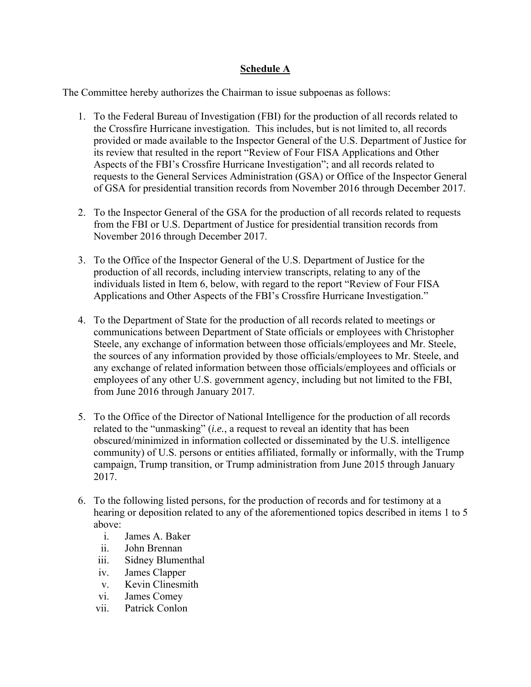## **Schedule A**

The Committee hereby authorizes the Chairman to issue subpoenas as follows:

- 1. To the Federal Bureau of Investigation (FBI) for the production of all records related to the Crossfire Hurricane investigation. This includes, but is not limited to, all records provided or made available to the Inspector General of the U.S. Department of Justice for its review that resulted in the report "Review of Four FISA Applications and Other Aspects of the FBI's Crossfire Hurricane Investigation"; and all records related to requests to the General Services Administration (GSA) or Office of the Inspector General of GSA for presidential transition records from November 2016 through December 2017.
- 2. To the Inspector General of the GSA for the production of all records related to requests from the FBI or U.S. Department of Justice for presidential transition records from November 2016 through December 2017.
- 3. To the Office of the Inspector General of the U.S. Department of Justice for the production of all records, including interview transcripts, relating to any of the individuals listed in Item 6, below, with regard to the report "Review of Four FISA Applications and Other Aspects of the FBI's Crossfire Hurricane Investigation."
- 4. To the Department of State for the production of all records related to meetings or communications between Department of State officials or employees with Christopher Steele, any exchange of information between those officials/employees and Mr. Steele, the sources of any information provided by those officials/employees to Mr. Steele, and any exchange of related information between those officials/employees and officials or employees of any other U.S. government agency, including but not limited to the FBI, from June 2016 through January 2017.
- 5. To the Office of the Director of National Intelligence for the production of all records related to the "unmasking" (*i.e.*, a request to reveal an identity that has been obscured/minimized in information collected or disseminated by the U.S. intelligence community) of U.S. persons or entities affiliated, formally or informally, with the Trump campaign, Trump transition, or Trump administration from June 2015 through January 2017.
- 6. To the following listed persons, for the production of records and for testimony at a hearing or deposition related to any of the aforementioned topics described in items 1 to 5 above:
	- i. James A. Baker
	- ii. John Brennan
	- iii. Sidney Blumenthal
	- iv. James Clapper
	- v. Kevin Clinesmith
	- vi. James Comey
	- vii. Patrick Conlon